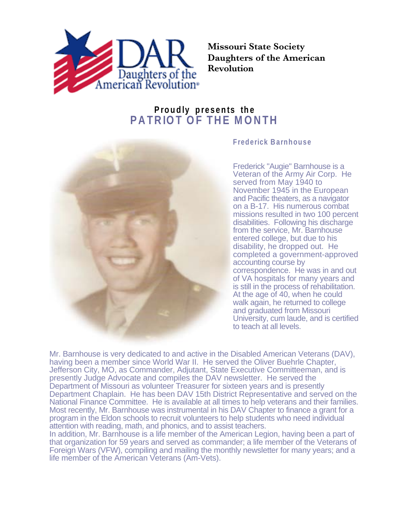

**Missouri State Society Daughters of the American Revolution**

## **Proudly presents the PATRIOT OF THE MONTH**



## **Frederick Barnhouse**

Frederick "Augie" Barnhouse is a Veteran of the Army Air Corp. He served from May 1940 to November 1945 in the European and Pacific theaters, as a navigator on a B-17. His numerous combat missions resulted in two 100 percent disabilities. Following his discharge from the service, Mr. Barnhouse entered college, but due to his disability, he dropped out. He completed a government-approved accounting course by correspondence. He was in and out of VA hospitals for many years and is still in the process of rehabilitation. At the age of 40, when he could walk again, he returned to college and graduated from Missouri University, cum laude, and is certified to teach at all levels.

Mr. Barnhouse is very dedicated to and active in the Disabled American Veterans (DAV), having been a member since World War II. He served the Oliver Buehrle Chapter, Jefferson City, MO, as Commander, Adjutant, State Executive Committeeman, and is presently Judge Advocate and compiles the DAV newsletter. He served the Department of Missouri as volunteer Treasurer for sixteen years and is presently Department Chaplain. He has been DAV 15th District Representative and served on the National Finance Committee. He is available at all times to help veterans and their families. Most recently, Mr. Barnhouse was instrumental in his DAV Chapter to finance a grant for a program in the Eldon schools to recruit volunteers to help students who need individual attention with reading, math, and phonics, and to assist teachers.

In addition, Mr. Barnhouse is a life member of the American Legion, having been a part of that organization for 59 years and served as commander; a life member of the Veterans of Foreign Wars (VFW), compiling and mailing the monthly newsletter for many years; and a life member of the American Veterans (Am-Vets).